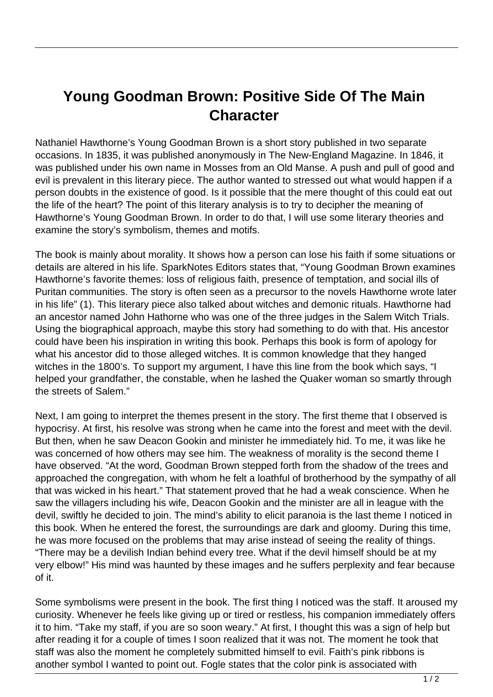## **Young Goodman Brown: Positive Side Of The Main Character**

Nathaniel Hawthorne's Young Goodman Brown is a short story published in two separate occasions. In 1835, it was published anonymously in The New-England Magazine. In 1846, it was published under his own name in Mosses from an Old Manse. A push and pull of good and evil is prevalent in this literary piece. The author wanted to stressed out what would happen if a person doubts in the existence of good. Is it possible that the mere thought of this could eat out the life of the heart? The point of this literary analysis is to try to decipher the meaning of Hawthorne's Young Goodman Brown. In order to do that, I will use some literary theories and examine the story's symbolism, themes and motifs.

The book is mainly about morality. It shows how a person can lose his faith if some situations or details are altered in his life. SparkNotes Editors states that, "Young Goodman Brown examines Hawthorne's favorite themes: loss of religious faith, presence of temptation, and social ills of Puritan communities. The story is often seen as a precursor to the novels Hawthorne wrote later in his life" (1). This literary piece also talked about witches and demonic rituals. Hawthorne had an ancestor named John Hathorne who was one of the three judges in the Salem Witch Trials. Using the biographical approach, maybe this story had something to do with that. His ancestor could have been his inspiration in writing this book. Perhaps this book is form of apology for what his ancestor did to those alleged witches. It is common knowledge that they hanged witches in the 1800's. To support my argument, I have this line from the book which says, "I helped your grandfather, the constable, when he lashed the Quaker woman so smartly through the streets of Salem."

Next, I am going to interpret the themes present in the story. The first theme that I observed is hypocrisy. At first, his resolve was strong when he came into the forest and meet with the devil. But then, when he saw Deacon Gookin and minister he immediately hid. To me, it was like he was concerned of how others may see him. The weakness of morality is the second theme I have observed. "At the word, Goodman Brown stepped forth from the shadow of the trees and approached the congregation, with whom he felt a loathful of brotherhood by the sympathy of all that was wicked in his heart." That statement proved that he had a weak conscience. When he saw the villagers including his wife, Deacon Gookin and the minister are all in league with the devil, swiftly he decided to join. The mind's ability to elicit paranoia is the last theme I noticed in this book. When he entered the forest, the surroundings are dark and gloomy. During this time, he was more focused on the problems that may arise instead of seeing the reality of things. "There may be a devilish Indian behind every tree. What if the devil himself should be at my very elbow!" His mind was haunted by these images and he suffers perplexity and fear because of it.

Some symbolisms were present in the book. The first thing I noticed was the staff. It aroused my curiosity. Whenever he feels like giving up or tired or restless, his companion immediately offers it to him. "Take my staff, if you are so soon weary." At first, I thought this was a sign of help but after reading it for a couple of times I soon realized that it was not. The moment he took that staff was also the moment he completely submitted himself to evil. Faith's pink ribbons is another symbol I wanted to point out. Fogle states that the color pink is associated with